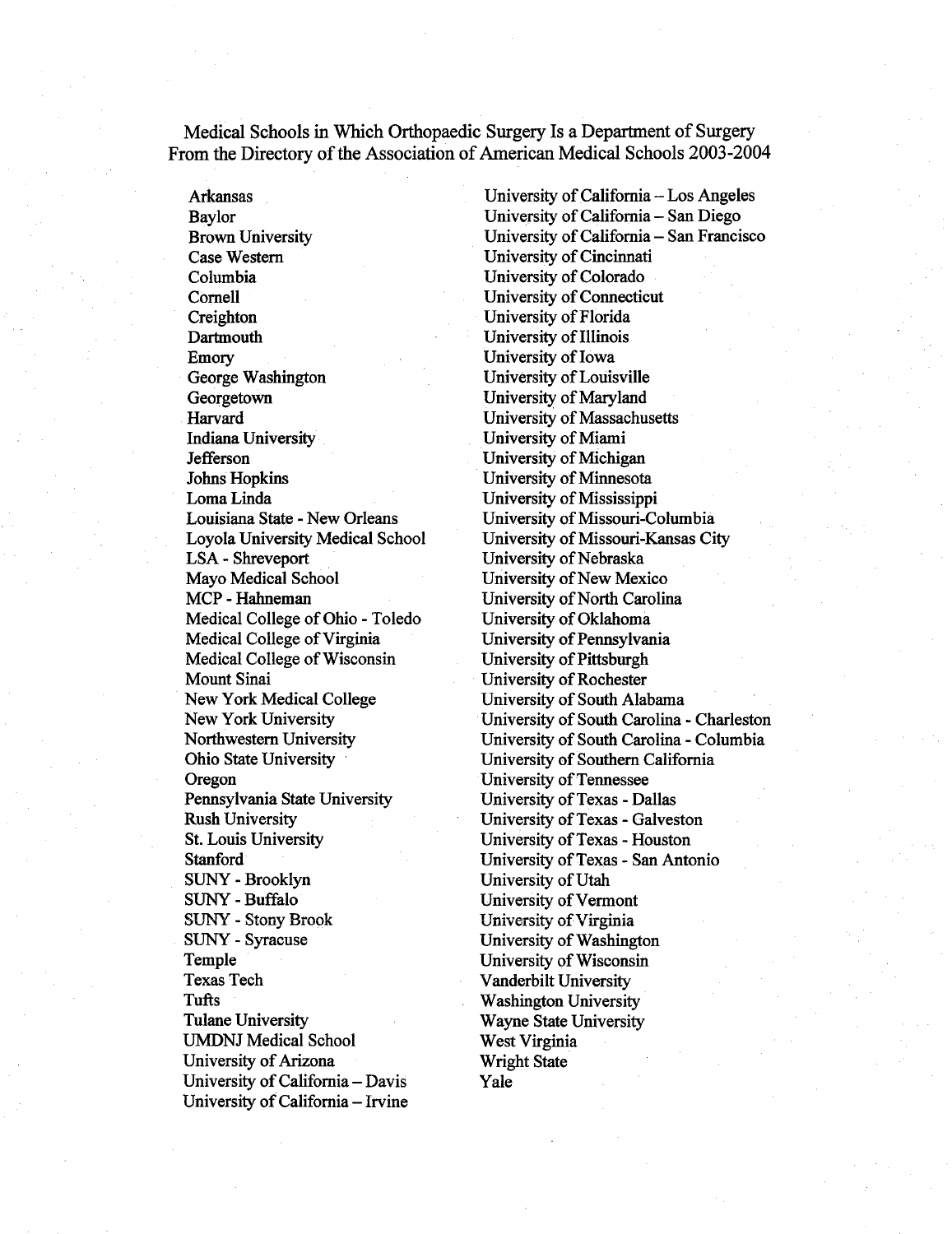Medical Schools in Which Orthopaedic Surgery Is a Department of Surgery From the Directory of the Association of American Medical Schools 2003-2004

Arkansas Baylor Brown University Case Western Columbia Cornell Creighton **Dartmouth** Emory George Washington **Georgetown** Harvard Indiana University Jefferson Johns Hopkins Loma Linda Louisiana State - New Orleans Loyola University Medical School LSA - Shreveport Mayo Medical School MCP - Hahneman Medical College of Ohio - Toledo Medical College of Virginia Medical College of Wisconsin Mount Sinai New York Medical College New York University Northwestern University Ohio State University Oregon Pennsylvania State University Rush University St. Louis University Stanford SUNY - Brooklyn SUNY - Buffalo SUNY - Stony Brook SUNY - Syracuse Temple **Texas Tech** Tufts Tulane University UMDNJ Medical School University of Arizona University of California - Davis University of California - Irvine

University of California  $-\text{Los Angeles}$ University of California - San Diego University of California - San Francisco University of Cincinnati University of Colorado University of Connecticut University of Florida University of Illinois University of Iowa University of Louisville University of Maryland University of Massachusetts University of Miami University of Michigan University of Minnesota University of Mississippi University of Missouri-Columbia University of Missouri-Kansas City University of Nebraska University of New Mexico University of North Carolina University of Oklahoma University of Pennsylvania University of Pittsburgh University of Rochester University of South Alabama University of South Carolina - Charleston University of South Carolina - Columbia University of Southern California University of Tennessee University of Texas - Dallas University of Texas - Galveston University of Texas - Houston University of Texas - San Antonio University of Utah University of Vermont University of Virginia University of Washington University of Wisconsin Vanderbilt University Washington University Wayne State University West Virginia Wright State Yale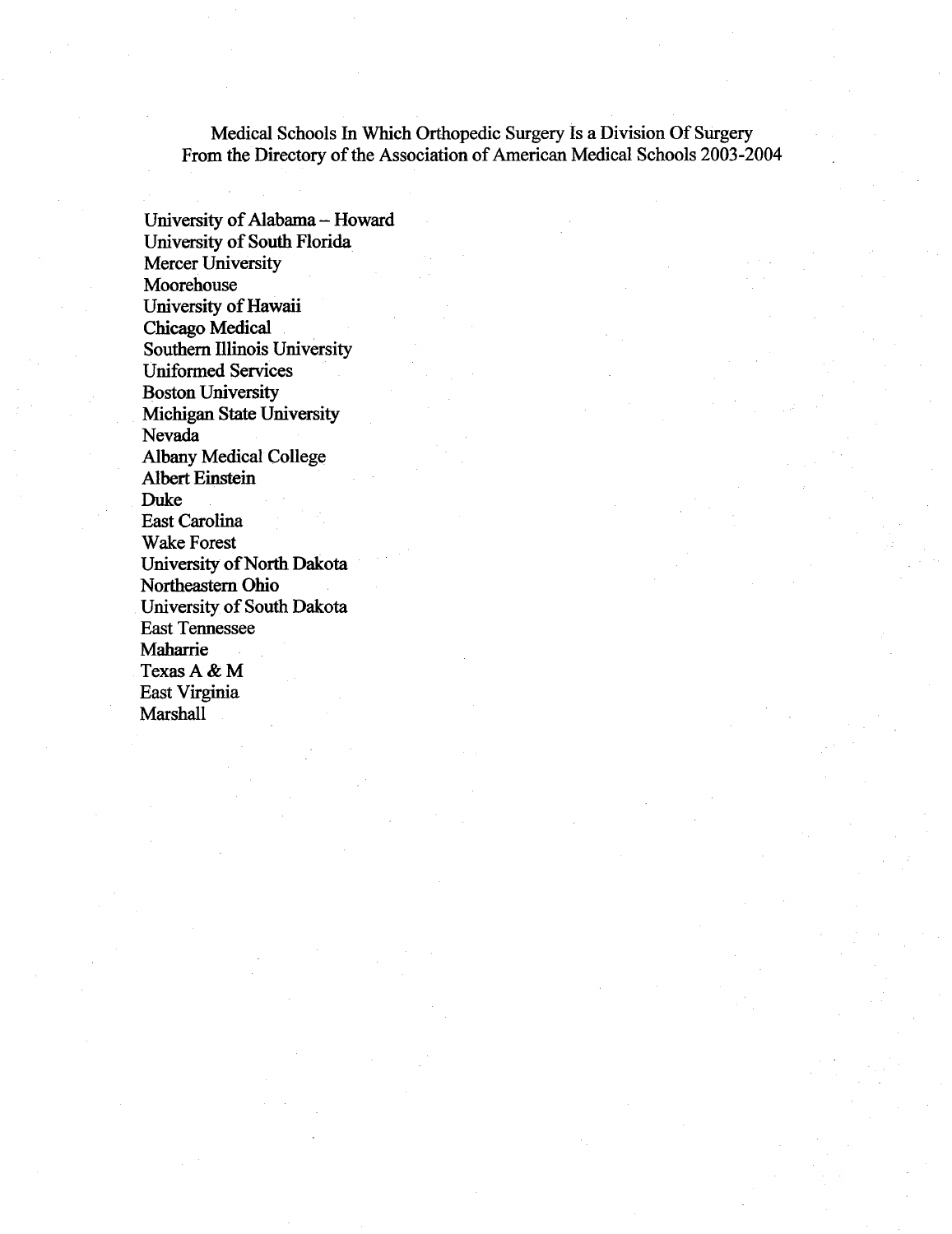Medical Schools In Which Orthopedic Surgery Is a Division Of Surgery From the Directory of the Association of American Medical Schools 2003-2004

University of Alabama - Howard University of South Florida Mercer University Moorehouse University of Hawaii Chicago Medical Southern Illinois University Uniformed Services Boston University Michigan State University Nevada Albany Medical College Albert Einstein Duke East Carolina Wake Forest University of North Dakota Northeastern Ohio University of South Dakota East Tennessee Maharrie Texas A & M East Virginia Marshall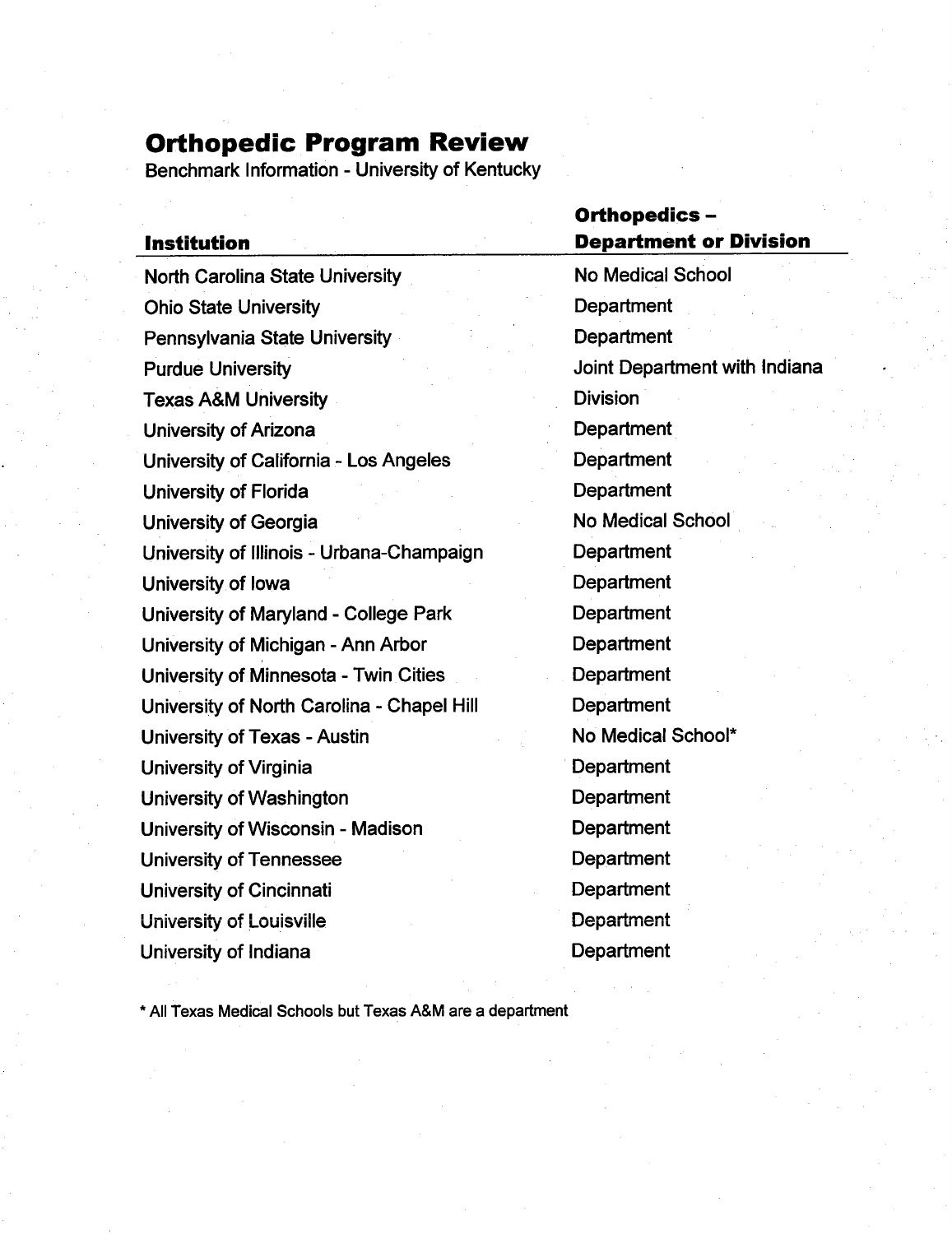## Orthopedic Program Review

Benchmark Information - University of Kentucky

|                                            | <b>Orthopedics -</b><br><b>Department or Division</b> |  |  |  |
|--------------------------------------------|-------------------------------------------------------|--|--|--|
| <b>Institution</b>                         |                                                       |  |  |  |
| <b>North Carolina State University</b>     | <b>No Medical School</b>                              |  |  |  |
| <b>Ohio State University</b>               | Department                                            |  |  |  |
| Pennsylvania State University              | Department                                            |  |  |  |
| <b>Purdue University</b>                   | Joint Department with Indiana                         |  |  |  |
| <b>Texas A&amp;M University</b>            | <b>Division</b>                                       |  |  |  |
| <b>University of Arizona</b>               | Department                                            |  |  |  |
| University of California - Los Angeles     | Department                                            |  |  |  |
| University of Florida                      | Department                                            |  |  |  |
| University of Georgia                      | <b>No Medical School</b>                              |  |  |  |
| University of Illinois - Urbana-Champaign  | Department                                            |  |  |  |
| University of lowa                         | Department                                            |  |  |  |
| University of Maryland - College Park      | Department                                            |  |  |  |
| University of Michigan - Ann Arbor         | Department                                            |  |  |  |
| University of Minnesota - Twin Cities      | Department                                            |  |  |  |
| University of North Carolina - Chapel Hill | Department                                            |  |  |  |
| University of Texas - Austin               | No Medical School*                                    |  |  |  |
| University of Virginia                     | Department                                            |  |  |  |
| University of Washington                   | Department                                            |  |  |  |
| University of Wisconsin - Madison          | Department                                            |  |  |  |
| <b>University of Tennessee</b>             | Department                                            |  |  |  |
| University of Cincinnati                   | Department                                            |  |  |  |
| <b>University of Louisville</b>            | Department                                            |  |  |  |
| University of Indiana                      | Department                                            |  |  |  |
|                                            |                                                       |  |  |  |

\* All Texas Medical Schools but Texas A&M are a department